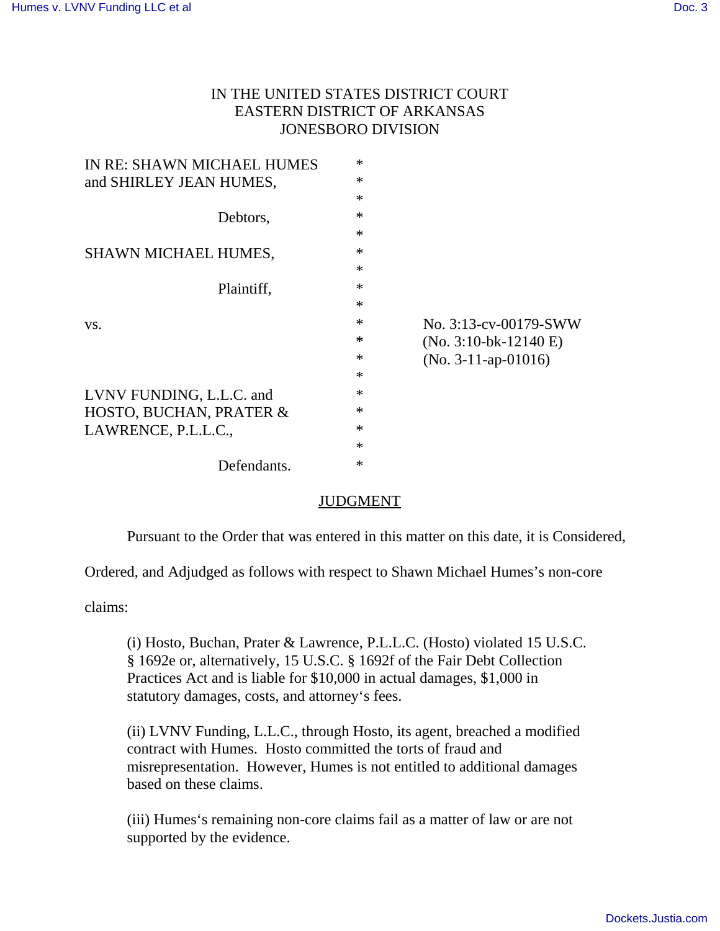## IN THE UNITED STATES DISTRICT COURT EASTERN DISTRICT OF ARKANSAS JONESBORO DIVISION

| IN RE: SHAWN MICHAEL HUMES  | $\ast$ |                         |
|-----------------------------|--------|-------------------------|
| and SHIRLEY JEAN HUMES,     | $\ast$ |                         |
|                             | $\ast$ |                         |
| Debtors,                    | $\ast$ |                         |
|                             | $\ast$ |                         |
| <b>SHAWN MICHAEL HUMES,</b> | $\ast$ |                         |
|                             | $\ast$ |                         |
| Plaintiff,                  | $\ast$ |                         |
|                             | $\ast$ |                         |
| VS.                         | $\ast$ | No. 3:13-cv-00179-SWW   |
|                             | *      | $(No. 3:10-bk-12140 E)$ |
|                             | $\ast$ | $(No. 3-11-ap-01016)$   |
|                             | $\ast$ |                         |
| LVNV FUNDING, L.L.C. and    | $\ast$ |                         |
| HOSTO, BUCHAN, PRATER &     | $\ast$ |                         |
| LAWRENCE, P.L.L.C.,         | $\ast$ |                         |
|                             | $\ast$ |                         |
| Defendants.                 | $\ast$ |                         |
|                             |        |                         |

## JUDGMENT

Pursuant to the Order that was entered in this matter on this date, it is Considered,

Ordered, and Adjudged as follows with respect to Shawn Michael Humes's non-core

claims:

(i) Hosto, Buchan, Prater & Lawrence, P.L.L.C. (Hosto) violated 15 U.S.C. § 1692e or, alternatively, 15 U.S.C. § 1692f of the Fair Debt Collection Practices Act and is liable for \$10,000 in actual damages, \$1,000 in statutory damages, costs, and attorney's fees.

(ii) LVNV Funding, L.L.C., through Hosto, its agent, breached a modified contract with Humes. Hosto committed the torts of fraud and misrepresentation. However, Humes is not entitled to additional damages based on these claims.

(iii) Humes's remaining non-core claims fail as a matter of law or are not supported by the evidence.